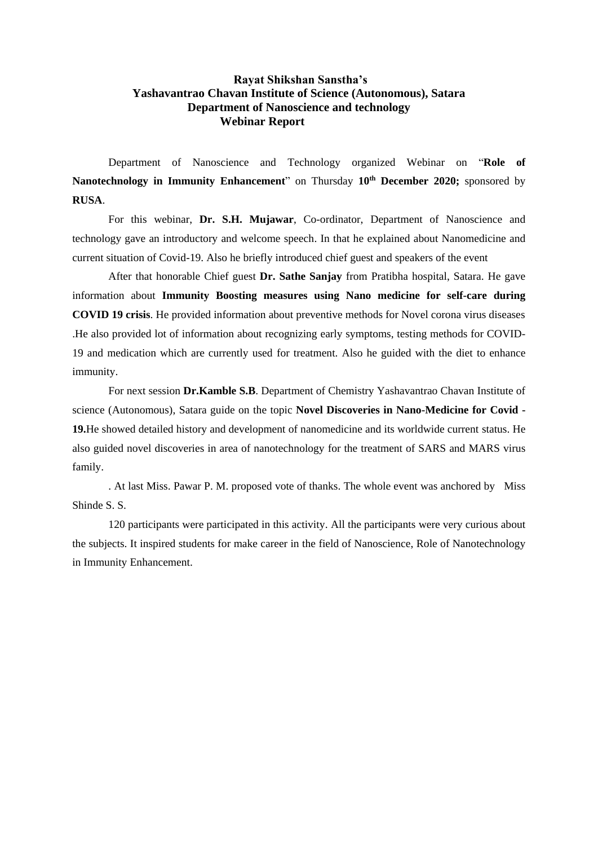## **Rayat Shikshan Sanstha's Yashavantrao Chavan Institute of Science (Autonomous), Satara Department of Nanoscience and technology Webinar Report**

Department of Nanoscience and Technology organized Webinar on "**Role of Nanotechnology in Immunity Enhancement**" on Thursday **10th December 2020;** sponsored by **RUSA**.

For this webinar, **Dr. S.H. Mujawar**, Co-ordinator, Department of Nanoscience and technology gave an introductory and welcome speech. In that he explained about Nanomedicine and current situation of Covid-19. Also he briefly introduced chief guest and speakers of the event

After that honorable Chief guest **Dr. Sathe Sanjay** from Pratibha hospital, Satara. He gave information about **Immunity Boosting measures using Nano medicine for self-care during COVID 19 crisis**. He provided information about preventive methods for Novel corona virus diseases .He also provided lot of information about recognizing early symptoms, testing methods for COVID-19 and medication which are currently used for treatment. Also he guided with the diet to enhance immunity.

For next session **Dr.Kamble S.B**. Department of Chemistry Yashavantrao Chavan Institute of science (Autonomous), Satara guide on the topic **Novel Discoveries in Nano-Medicine for Covid - 19.**He showed detailed history and development of nanomedicine and its worldwide current status. He also guided novel discoveries in area of nanotechnology for the treatment of SARS and MARS virus family.

. At last Miss. Pawar P. M. proposed vote of thanks. The whole event was anchored by Miss Shinde S. S.

120 participants were participated in this activity. All the participants were very curious about the subjects. It inspired students for make career in the field of Nanoscience, Role of Nanotechnology in Immunity Enhancement.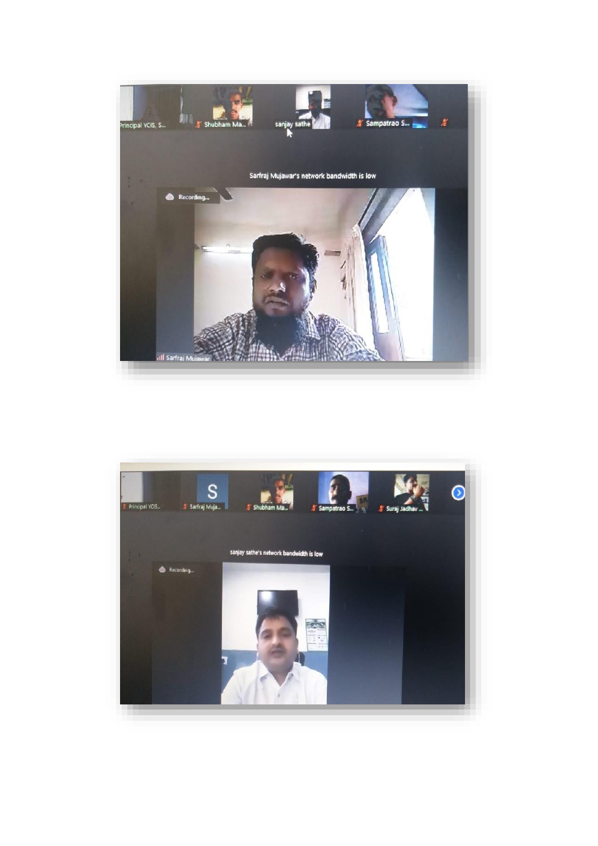